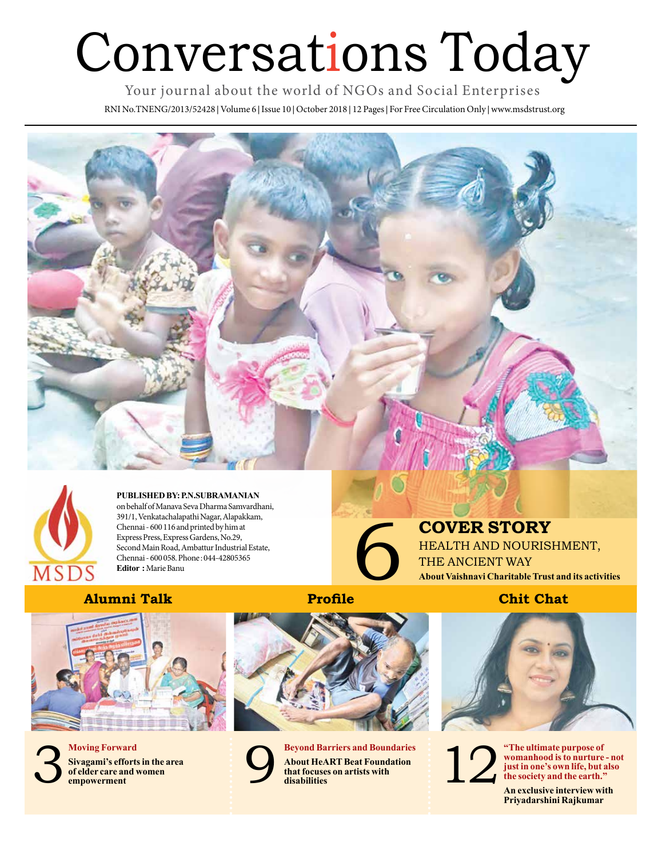# Conversations Today

Your journal about the world of NGOs and Social Enterprises

RNI No.TNENG/2013/52428 **|** Volume 6 **|** Issue 10 **|** October 2018 **|** 12 Pages **|** For Free Circulation Only **|** www.msdstrust.org





**PUBLISHED BY: P.N.SUBRAMANIAN**  on behalf of Manava Seva Dharma Samvardhani, 391/1, Venkatachalapathi Nagar, Alapakkam, Chennai - 600 116 and printed by him at Express Press, Express Gardens, No.29, Second Main Road, Ambattur Industrial Estate, Chennai - 600 058. Phone : 044-42805365 **Editor :** Marie Banu

**COVER STORY<br>
HEALTH AND NOURISHM<br>
THE ANCIENT WAY<br>
About Vaishnavi Charitable Trust and<br>
Chit Chat** HEALTH AND NOURISHMENT, THE ANCIENT WAY **About Vaishnavi Charitable Trust and its activities**

#### **Alumni Talk**









**Beyond Barriers and Boundaries About HeART Beat Foundation that focuses on artists with disabilities on artists with** 



12

**"The ultimate purpose of womanhood is to nurture - not just in one's own life, but also the society and the earth."**

**An exclusive interview with Priyadarshini Rajkumar**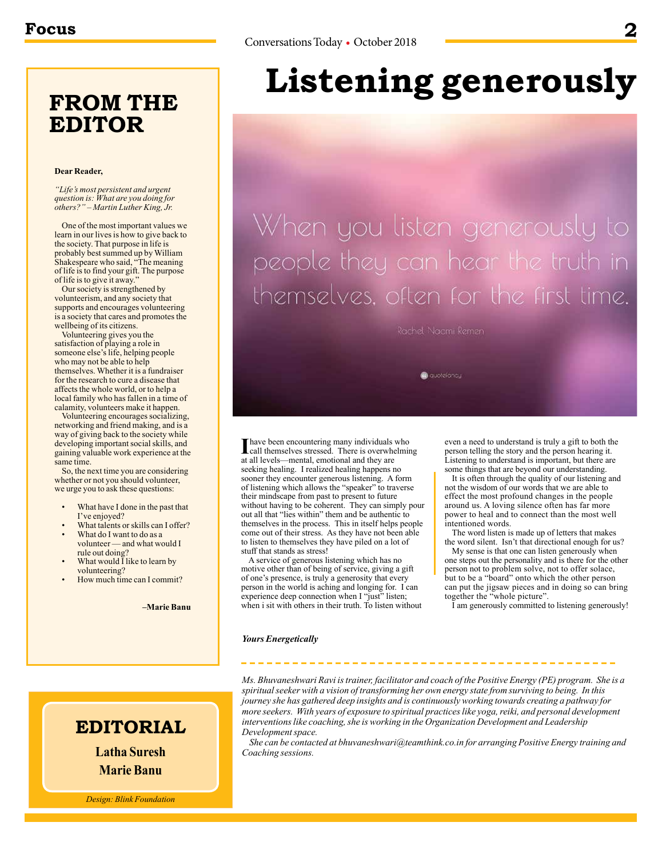### **FROM THE EDITOR**

#### **Dear Reader,**

*"Life's most persistent and urgent question is: What are you doing for others?" – Martin Luther King, Jr.*

One of the most important values we learn in our lives is how to give back to the society. That purpose in life is probably best summed up by William Shakespeare who said, "The meaning of life is to find your gift. The purpose of life is to give it away."

Our society is strengthened by volunteerism, and any society that supports and encourages volunteering is a society that cares and promotes the wellbeing of its citizens.

Volunteering gives you the satisfaction of playing a role in someone else's life, helping people who may not be able to help themselves. Whether it is a fundraiser for the research to cure a disease that affects the whole world, or to help a local family who has fallen in a time of calamity, volunteers make it happen.

Volunteering encourages socializing, networking and friend making, and is a way of giving back to the society while developing important social skills, and gaining valuable work experience at the same time.

So, the next time you are considering whether or not you should volunteer, we urge you to ask these questions:

- What have I done in the past that I've enjoyed?
- What talents or skills can I offer? What do I want to do as a
- volunteer and what would I rule out doing? What would I like to learn by
- volunteering?
- How much time can I commit?

**–Marie Banu**

# **Listening generously**

When you listen generously to people they can hear the truth in themselves, often for the first time.

Rachel Nacmi Remen

@ quotefoncy

**I** have been encountering many individuals who<br>call themselves stressed. There is overwhelmin<br>the library of the state of the state of the state of the state of the state of the state of the state of the state of the stat call themselves stressed. There is overwhelming at all levels—mental, emotional and they are seeking healing. I realized healing happens no sooner they encounter generous listening. A form of listening which allows the "speaker" to traverse their mindscape from past to present to future without having to be coherent. They can simply pour out all that "lies within" them and be authentic to themselves in the process. This in itself helps people come out of their stress. As they have not been able to listen to themselves they have piled on a lot of stuff that stands as stress!

A service of generous listening which has no motive other than of being of service, giving a gift of one's presence, is truly a generosity that every person in the world is aching and longing for. I can experience deep connection when I "just" listen; when i sit with others in their truth. To listen without even a need to understand is truly a gift to both the person telling the story and the person hearing it. Listening to understand is important, but there are some things that are beyond our understanding.

It is often through the quality of our listening and not the wisdom of our words that we are able to effect the most profound changes in the people around us. A loving silence often has far more power to heal and to connect than the most well intentioned words.

The word listen is made up of letters that makes the word silent. Isn't that directional enough for us?

My sense is that one can listen generously when one steps out the personality and is there for the other person not to problem solve, not to offer solace, but to be a "board" onto which the other person can put the jigsaw pieces and in doing so can bring together the "whole picture".

I am generously committed to listening generously!

#### *Yours Energetically*

#### *Ms. Bhuvaneshwari Ravi is trainer, facilitator and coach of the Positive Energy (PE) program. She is a spiritual seeker with a vision of transforming her own energy state from surviving to being. In this journey she has gathered deep insights and is continuously working towards creating a pathway for more seekers. With years of exposure to spiritual practices like yoga, reiki, and personal development interventions like coaching, she is working in the Organization Development and Leadership Development space.*

*She can be contacted at bhuvaneshwari@teamthink.co.in for arranging Positive Energy training and Coaching sessions.*

### **EDITORIAL**

**Latha Suresh Marie Banu**

*Design: Blink Foundation*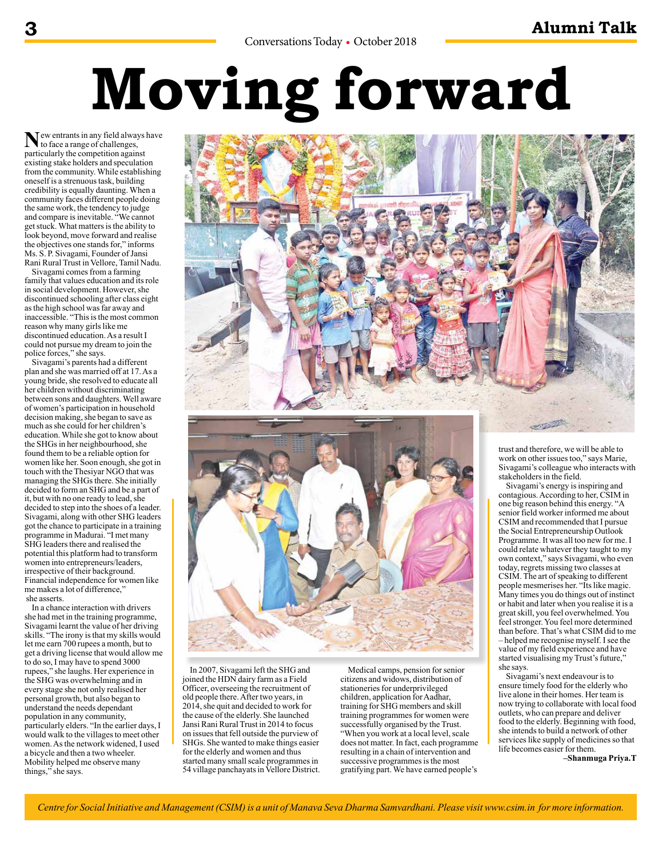# **Moving forward**

 $N_{\text{to face a range of challenges,}}$ particularly the competition against existing stake holders and speculation from the community. While establishing oneself is a strenuous task, building credibility is equally daunting. When a community faces different people doing the same work, the tendency to judge and compare is inevitable. "We cannot get stuck. What matters is the ability to look beyond, move forward and realise the objectives one stands for," informs Ms. S. P. Sivagami, Founder of Jansi Rani Rural Trust in Vellore, Tamil Nadu.

Sivagami comes from a farming family that values education and its role in social development. However, she discontinued schooling after class eight as the high school was far away and inaccessible. "This is the most common reason why many girls like me discontinued education. As a result I could not pursue my dream to join the police forces," she says.

Sivagami's parents had a different plan and she was married off at 17. As a young bride, she resolved to educate all her children without discriminating between sons and daughters. Well aware of women's participation in household decision making, she began to save as much as she could for her children's education. While she got to know about the SHGs in her neighbourhood, she found them to be a reliable option for women like her. Soon enough, she got in touch with the Thesiyar NGO that was managing the SHGs there. She initially decided to form an SHG and be a part of it, but with no one ready to lead, she decided to step into the shoes of a leader. Sivagami, along with other SHG leaders got the chance to participate in a training programme in Madurai. "I met many SHG leaders there and realised the potential this platform had to transform women into entrepreneurs/leaders, irrespective of their background. Financial independence for women like me makes a lot of difference," she asserts.

In a chance interaction with drivers she had met in the training programme, Sivagami learnt the value of her driving skills. "The irony is that my skills would let me earn 700 rupees a month, but to get a driving license that would allow me to do so, I may have to spend 3000 rupees," she laughs. Her experience in the SHG was overwhelming and in every stage she not only realised her personal growth, but also began to understand the needs dependant population in any community, particularly elders. "In the earlier days, I would walk to the villages to meet other women. As the network widened, I used a bicycle and then a two wheeler. Mobility helped me observe many things," she says.





In 2007, Sivagami left the SHG and joined the HDN dairy farm as a Field Officer, overseeing the recruitment of old people there. After two years, in 2014, she quit and decided to work for the cause of the elderly. She launched Jansi Rani Rural Trust in 2014 to focus on issues that fell outside the purview of SHGs. She wanted to make things easier for the elderly and women and thus started many small scale programmes in 54 village panchayats in Vellore District.

Medical camps, pension for senior citizens and widows, distribution of stationeries for underprivileged children, application for Aadhar, training for SHG members and skill training programmes for women were successfully organised by the Trust. "When you work at a local level, scale does not matter. In fact, each programme resulting in a chain of intervention and successive programmes is the most gratifying part. We have earned people's

trust and therefore, we will be able to work on other issues too," says Marie, Sivagami's colleague who interacts with stakeholders in the field.

Sivagami's energy is inspiring and contagious. According to her, CSIM in one big reason behind this energy. "A senior field worker informed me about CSIM and recommended that I pursue the Social Entrepreneurship Outlook Programme. It was all too new for me. I could relate whatever they taught to my own context," says Sivagami, who even today, regrets missing two classes at CSIM. The art of speaking to different people mesmerises her. "Its like magic. Many times you do things out of instinct or habit and later when you realise it is a great skill, you feel overwhelmed. You feel stronger. You feel more determined than before. That's what CSIM did to me – helped me recognise myself. I see the value of my field experience and have started visualising my Trust's future, she says.

Sivagami's next endeavour is to ensure timely food for the elderly who live alone in their homes. Her team is now trying to collaborate with local food outlets, who can prepare and deliver food to the elderly. Beginning with food, she intends to build a network of other services like supply of medicines so that life becomes easier for them.

**–Shanmuga Priya.T**

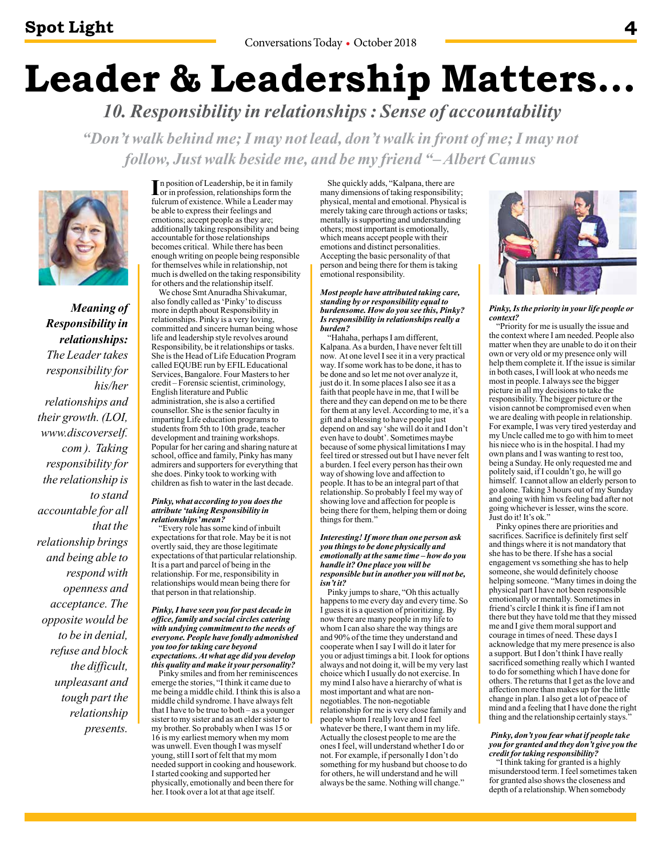# **Leader & Leadership Matters…**

 *10. Responsibility in relationships : Sense of accountability* 

*"Don't walk behind me; I may not lead, don't walk in front of me; I may not follow, Just walk beside me, and be my friend "– Albert Camus*



*Meaning of Responsibility in relationships: The Leader takes responsibility for his/her relationships and their growth. (LOI, www.discoverself. com ). Taking responsibility for the relationship is to stand accountable for all that the relationship brings and being able to respond with openness and acceptance. The opposite would be to be in denial, refuse and block the difficult, unpleasant and tough part the relationship presents.*

In position of Leadership, be it in family<br>or in profession, relationships form the<br>fularum of outstance. While a Leader may or in profession, relationships form the fulcrum of existence. While a Leader may be able to express their feelings and emotions; accept people as they are; additionally taking responsibility and being accountable for those relationships becomes critical. While there has been enough writing on people being responsible for themselves while in relationship, not much is dwelled on the taking responsibility for others and the relationship itself.

We chose Smt Anuradha Shivakumar, also fondly called as 'Pinky' to discuss more in depth about Responsibility in relationships. Pinky is a very loving, committed and sincere human being whose life and leadership style revolves around Responsibility, be it relationships or tasks. She is the Head of Life Education Program called EQUBE run by EFIL Educational Services, Bangalore. Four Masters to her credit – Forensic scientist, criminology, English literature and Public administration, she is also a certified counsellor. She is the senior faculty in imparting Life education programs to students from 5th to 10th grade, teacher development and training workshops. Popular for her caring and sharing nature at school, office and family, Pinky has many admirers and supporters for everything that she does. Pinky took to working with children as fish to water in the last decade.

#### *Pinky, what according to you does the attribute 'taking Responsibility in relationships' mean?*

"Every role has some kind of inbuilt expectations for that role. May be it is not overtly said, they are those legitimate expectations of that particular relationship. It is a part and parcel of being in the relationship. For me, responsibility in relationships would mean being there for that person in that relationship.

#### *Pinky, I have seen you for past decade in office, family and social circles catering with undying commitment to the needs of everyone. People have fondly admonished you too for taking care beyond expectations. At what age did you develop*

*this quality and make it your personality?*  Pinky smiles and from her reminiscences emerge the stories, "I think it came due to me being a middle child. I think this is also a middle child syndrome. I have always felt that I have to be true to both – as a younger sister to my sister and as an elder sister to my brother. So probably when I was 15 or 16 is my earliest memory when my mom was unwell. Even though I was myself young, still I sort of felt that my mom needed support in cooking and housework. I started cooking and supported her physically, emotionally and been there for her. I took over a lot at that age itself.

She quickly adds, "Kalpana, there are many dimensions of taking responsibility; physical, mental and emotional. Physical is merely taking care through actions or tasks; mentally is supporting and understanding others; most important is emotionally, which means accept people with their emotions and distinct personalities. Accepting the basic personality of that person and being there for them is taking emotional responsibility.

#### *Most people have attributed taking care, standing by or responsibility equal to burdensome. How do you see this, Pinky? Is responsibility in relationships really a burden?*

"Hahaha, perhaps I am different, Kalpana. As a burden, I have never felt till now. At one level I see it in a very practical way. If some work has to be done, it has to be done and so let me not over analyze it, just do it. In some places I also see it as a faith that people have in me, that I will be there and they can depend on me to be there for them at any level. According to me, it's a gift and a blessing to have people just depend on and say 'she will do it and I don't even have to doubt'. Sometimes maybe because of some physical limitations I may feel tired or stressed out but I have never felt a burden. I feel every person has their own way of showing love and affection to people. It has to be an integral part of that relationship. So probably I feel my way of showing love and affection for people is being there for them, helping them or doing things for them<sup>?</sup>

#### *Interesting! If more than one person ask you things to be done physically and emotionally at the same time – how do you handle it? One place you will be responsible but in another you will not be, isn't it?*

Pinky jumps to share, "Oh this actually happens to me every day and every time. So I guess it is a question of prioritizing. By now there are many people in my life to whom I can also share the way things are and 90% of the time they understand and cooperate when I say I will do it later for you or adjust timings a bit. I look for options always and not doing it, will be my very last choice which I usually do not exercise. In my mind I also have a hierarchy of what is most important and what are nonnegotiables. The non-negotiable relationship for me is very close family and people whom I really love and I feel whatever be there, I want them in my life. Actually the closest people to me are the ones I feel, will understand whether I do or not. For example, if personally I don't do something for my husband but choose to do for others, he will understand and he will always be the same. Nothing will change."



#### *Pinky, Is the priority in your life people or context?*

"Priority for me is usually the issue and the context where I am needed. People also matter when they are unable to do it on their own or very old or my presence only will help them complete it. If the issue is similar in both cases, I will look at who needs me most in people. I always see the bigger picture in all my decisions to take the responsibility. The bigger picture or the vision cannot be compromised even when we are dealing with people in relationship. For example, I was very tired yesterday and my Uncle called me to go with him to meet his niece who is in the hospital. I had my own plans and I was wanting to rest too, being a Sunday. He only requested me and politely said, if I couldn't go, he will go himself. I cannot allow an elderly person to go alone. Taking 3 hours out of my Sunday and going with him vs feeling bad after not going whichever is lesser, wins the score. Just do it! It's ok."

Pinky opines there are priorities and sacrifices. Sacrifice is definitely first self and things where it is not mandatory that she has to be there. If she has a social engagement vs something she has to help someone, she would definitely choose helping someone. "Many times in doing the physical part I have not been responsible emotionally or mentally. Sometimes in friend's circle I think it is fine if I am not there but they have told me that they missed me and I give them moral support and courage in times of need. These days I acknowledge that my mere presence is also a support. But I don't think I have really sacrificed something really which I wanted to do for something which I have done for others. The returns that I get as the love and affection more than makes up for the little change in plan. I also get a lot of peace of mind and a feeling that I have done the right thing and the relationship certainly stays."

#### *Pinky, don't you fear what if people take you for granted and they don't give you the credit for taking responsibility?*

"I think taking for granted is a highly misunderstood term. I feel sometimes taken for granted also shows the closeness and depth of a relationship. When somebody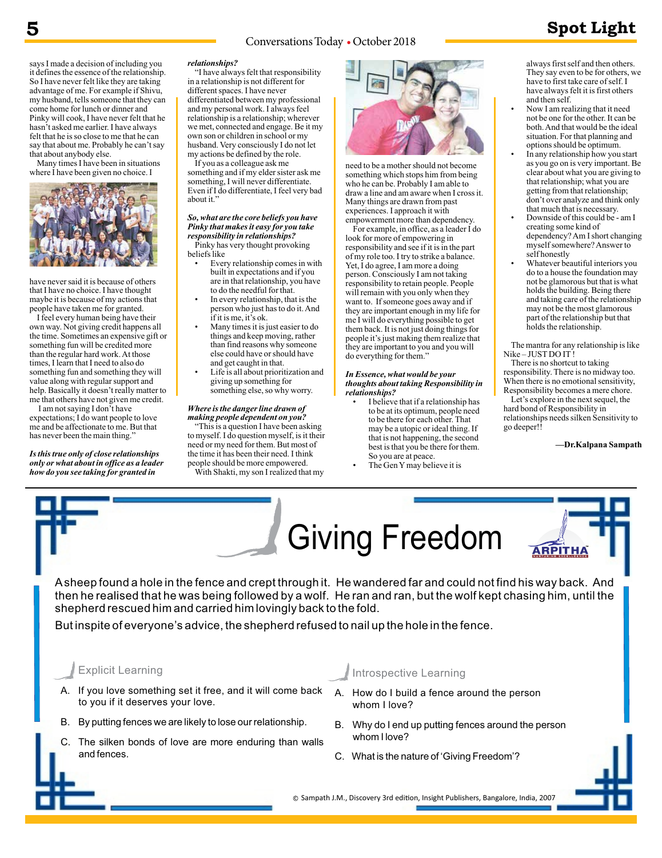#### Conversations Today • October 2018 **5 Spot Light**

says I made a decision of including you it defines the essence of the relationship. So I have never felt like they are taking advantage of me. For example if Shivu, my husband, tells someone that they can come home for lunch or dinner and Pinky will cook, I have never felt that he hasn't asked me earlier. I have always felt that he is so close to me that he can say that about me. Probably he can't say that about anybody else.

Many times I have been in situations where I have been given no choice. I



have never said it is because of others that I have no choice. I have thought maybe it is because of my actions that people have taken me for granted.

I feel every human being have their own way. Not giving credit happens all the time. Sometimes an expensive gift or something fun will be credited more than the regular hard work. At those times, I learn that I need to also do something fun and something they will value along with regular support and help. Basically it doesn't really matter to me that others have not given me credit.

 I am not saying I don't have expectations; I do want people to love me and be affectionate to me. But that has never been the main thing."

*Is this true only of close relationships only or what about in office as a leader how do you see taking for granted in* 

#### *relationships?*

"I have always felt that responsibility in a relationship is not different for different spaces. I have never differentiated between my professional and my personal work. I always feel relationship is a relationship; wherever we met, connected and engage. Be it my own son or children in school or my husband. Very consciously I do not let my actions be defined by the role.

If you as a colleague ask me something and if my elder sister ask me something, I will never differentiate. Even if I do differentiate, I feel very bad about it."

#### *So, what are the core beliefs you have Pinky that makes it easy for you take responsibility in relationships?*  Pinky has very thought provoking

beliefs like • Every relationship comes in with built in expectations and if you are in that relationship, you have

- to do the needful for that. • In every relationship, that is the
- person who just has to do it. And if it is me, it's ok.
- Many times it is just easier to do things and keep moving, rather than find reasons why someone else could have or should have and get caught in that.
- Life is all about prioritization and giving up something for something else, so why worry.

#### *Where is the danger line drawn of making people dependent on you?*

"This is a question I have been asking to myself. I do question myself, is it their need or my need for them. But most of the time it has been their need. I think people should be more empowered. With Shakti, my son I realized that my



need to be a mother should not become something which stops him from being who he can be. Probably I am able to draw a line and am aware when I cross it. Many things are drawn from past experiences. I approach it with empowerment more than dependency.

For example, in office, as a leader I do look for more of empowering in responsibility and see if it is in the part of my role too. I try to strike a balance. Yet, I do agree, I am more a doing person. Consciously I am not taking responsibility to retain people. People will remain with you only when they want to. If someone goes away and if they are important enough in my life for me I will do everything possible to get them back. It is not just doing things for people it's just making them realize that they are important to you and you will do everything for them."

#### *In Essence, what would be your thoughts about taking Responsibility in relationships?*

- I believe that if a relationship has to be at its optimum, people need to be there for each other. That may be a utopic or ideal thing. If that is not happening, the second best is that you be there for them. So you are at peace.
- The Gen Y may believe it is

always first self and then others. They say even to be for others, we have to first take care of self. I have always felt it is first others and then self.

- Now I am realizing that it need not be one for the other. It can be both. And that would be the ideal situation. For that planning and options should be optimum.
- In any relationship how you start as you go on is very important. Be clear about what you are giving to that relationship; what you are getting from that relationship; don't over analyze and think only that much that is necessary.
- Downside of this could be am I creating some kind of dependency? Am I short changing myself somewhere? Answer to self honestly
- Whatever beautiful interiors you do to a house the foundation may not be glamorous but that is what holds the building. Being there and taking care of the relationship may not be the most glamorous part of the relationship but that holds the relationship.

The mantra for any relationship is like Nike – JUST DO IT !

There is no shortcut to taking responsibility. There is no midway too. When there is no emotional sensitivity, Responsibility becomes a mere chore.

Let's explore in the next sequel, the hard bond of Responsibility in relationships needs silken Sensitivity to go deeper!

**—Dr.Kalpana Sampath**



- A. If you love something set it free, and it will come back to you if it deserves your love.
- B. By putting fences we are likely to lose our relationship.
- C. The silken bonds of love are more enduring than walls and fences.

#### Introspective Learning

- A. How do I build a fence around the person whom I love?
- B. Why do I end up putting fences around the person whom I love?
- C. What is the nature of 'Giving Freedom'?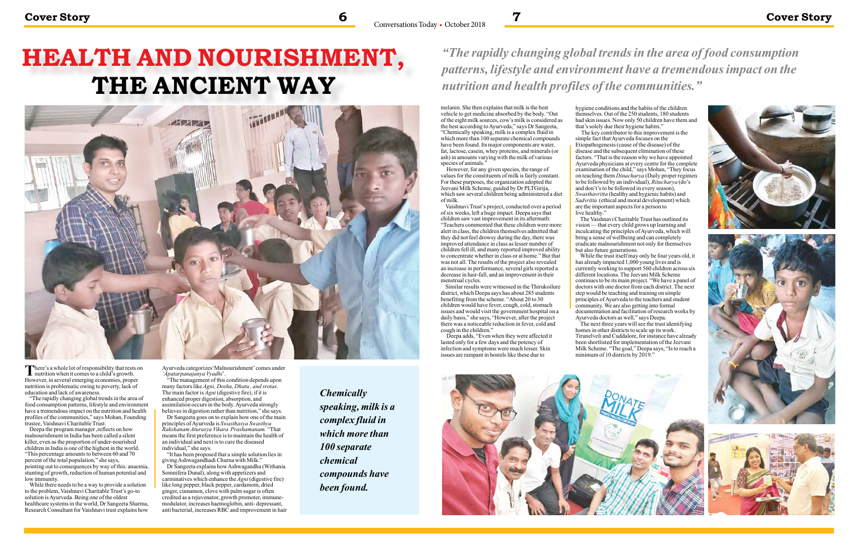# **HEALTH AND NOURISHMENT, THE ANCIENT WAY**



There's a whole lot of responsibility that rests on nutrition when it comes to a child's growth. However, in several emerging economies, proper nutrition is problematic owing to poverty, lack of education and lack of awareness.

"The rapidly changing global trends in the area of food consumption patterns, lifestyle and environment have a tremendous impact on the nutrition and health profiles of the communities," says Mohan, Founding trustee, Vaishnavi Charitable Trust.

Deepa the program manager ,reflects on how malnourishment in India has been called a silent killer, even as the proportion of under-nourished children in India is one of the highest in the world. "This percentage amounts to between 60 and 70 percent of the total population," she says, pointing out to consequences by way of this: anaemia, stunting of growth, reduction of human potential and low immunity.

While there needs to be a way to provide a solution to the problem, Vaishnavi Charitable Trust's go-to solution is Ayurveda. Being one of the oldest healthcare systems in the world, Dr Sangeeta Sharma, Research Consultant for Vaishnavi trust explains how Ayurveda categorizes'Malnourishment' comes under *'Apatarpanajanya Vyadhi*'.

melanin. She then explains that milk is the best vehicle to get medicine absorbed by the body. "Out of the eight milk sources, cow's milk is considered as the best according to Ayurveda," says Dr Sangeeta, "Chemically speaking, milk is a complex fluid in which more than 100 separate chemical compounds have been found. Its major components are water, fat, lactose, casein, whey proteins, and minerals (or ash) in amounts varying with the milk of various species of animals.'

"The management of this condition depends upon many factors like *Agni, Dosha, Dhatu , and srotas.*  The main factor is *Agni* (digestive fire), if it is enhanced proper digestion, absorption, and assimilation occurs in the body. Ayurveda strongly believes in digestion rather than nutrition," she says.

Dr Sangeeta goes on to explain how one of the main principles of Ayurveda is *Swasthasya Swasthya Rakshanam Aturasya Vikara Prashamanam.* "That means the first preference is to maintain the health of an individual and next is to cure the diseased individual," she says.

"It has been proposed that a simple solution lies in giving Ashwagandhadi Churna with Milk."

Similar results were witnessed in the Thirukoilure district, which Deepa says has about 285 students benefiting from the scheme. "About 20 to 30 children would have fever, cough, cold, stomach issues and would visit the government hospital on a daily basis," she says, "However, after the project there was a noticeable reduction in fever, cold and cough in the children."

Dr Sangeeta explains how Ashwagandha (Withania Somnifera Dunal), along with appetizers and carminatives which enhance the *Agni* (digestive fire) like long pepper, black pepper, cardamom, dried ginger, cinnamon, clove with palm sugar is often credited as a rejuvenator, growth promoter, immunemodulator, increases haemoglobin, anti- depressant, anti bacterial, increases RBC and improvement in hair

### *"The rapidly changing global trends in the area of food consumption patterns, lifestyle and environment have a tremendous impact on the nutrition and health profiles of the communities."*

The key contributor to this improvement is the simple fact that Ayurveda focuses on the Etiopathogenesis (cause of the disease) of the disease and the subsequent elimination of these factors. "That is the reason why we have appointed Ayurveda physicians at every centre for the complete examination of the child," says Mohan, "They focus on teaching them *Dinacharya* (Daily proper regimen to be followed by an individual), *Ritucharya* (do's and don't's to be followed in every season), *Swasthavritta* (healthy and hygienic habits) and *Sadvritta* (ethical and moral development) which are the important aspects for a person to live healthy."

While the trust itself may only be four years old, it has already impacted 1,000 young lives and is currently working to support 560 children across six different locations. The Jeevani Milk Scheme continues to be its main project. "We have a panel of doctors with one doctor from each district. The next step would be teaching and training on simple principles of Ayurveda to the teachers and student community. We are also getting into formal documentation and facilitation of research works by Ayurveda doctors as well," says Deepa.

The next three years will see the trust identifying homes in other districts to scale up its work. Tirunelveli and Cuddalore, for instance have already been shortlisted for implementation of the Jeevani Milk Scheme. "The goal," Deepa says, "Is to reach a minimum of 10 districts by 2019."





 However, for any given species, the range of values for the constituents of milk is fairly constant. For these purposes, the organization adopted the Jeevani Milk Scheme, guided by Dr PLTGirija, which saw several children being administered a diet of milk.

Vaishnavi Trust's project, conducted over a period of six weeks, left a huge impact. Deepa says that children saw vast improvement in its aftermath: "Teachers commented that these children were more alert in class, the children themselves admitted that they did not feel drowsy during the day, there was improved attendance in class as lesser number of children fell ill, and many reported improved ability to concentrate whether in class or at home." But that was not all. The results of the project also revealed an increase in performance, several girls reported a decrease in hair-fall, and an improvement in their menstrual cycles.

 Deepa adds, "Even when they were affected it lasted only for a few days and the potency of infection and symptoms were much lesser. Skin issues are rampant in hostels like these due to



hygiene conditions and the habits of the children themselves. Out of the 250 students, 180 students had skin issues. Now only 50 children have them and that's solely due their hygiene habits."

The Vaishnavi Charitable Trust has outlined its vision — that every child grows up learning and inculcating the principles of Ayurveda, which will bring a sense of wellbeing and can completely eradicate malnourishment not only for themselves but also future generations.

*Chemically speaking, milk is a complex fluid in which more than 100 separate chemical compounds have been found.*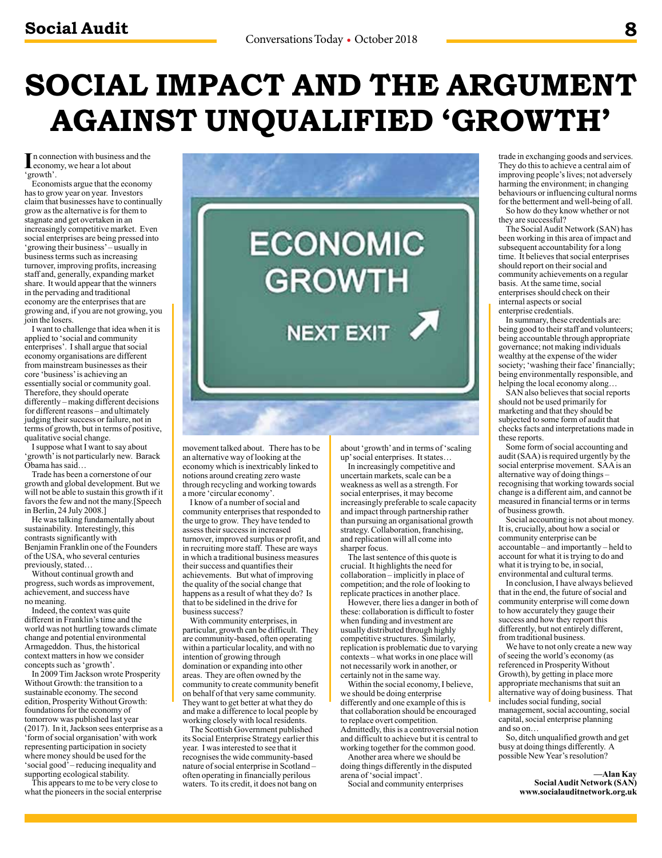## **SOCIAL IMPACT AND THE ARGUMENT AGAINST UNQUALIFIED 'GROWTH'**

In connection with business an economy, we hear a lot about n connection with business and the 'growth'.

Economists argue that the economy has to grow year on year. Investors claim that businesses have to continually grow as the alternative is for them to stagnate and get overtaken in an increasingly competitive market. Even social enterprises are being pressed into 'growing their business' – usually in business terms such as increasing turnover, improving profits, increasing staff and, generally, expanding market share. It would appear that the winners in the pervading and traditional economy are the enterprises that are growing and, if you are not growing, you join the losers.

I want to challenge that idea when it is applied to 'social and community enterprises'. I shall argue that social economy organisations are different from mainstream businesses as their core 'business' is achieving an essentially social or community goal. Therefore, they should operate differently – making different decisions for different reasons – and ultimately judging their success or failure, not in terms of growth, but in terms of positive, qualitative social change.

I suppose what I want to say about 'growth' is not particularly new. Barack Obama has said…

Trade has been a cornerstone of our growth and global development. But we will not be able to sustain this growth if it favors the few and not the many.[Speech in Berlin, 24 July 2008.]

He was talking fundamentally about sustainability. Interestingly, this contrasts significantly with Benjamin Franklin one of the Founders of the USA, who several centuries previously, stated…

Without continual growth and progress, such words as improvement, achievement, and success have no meaning.

Indeed, the context was quite different in Franklin's time and the world was not hurtling towards climate change and potential environmental Armageddon. Thus, the historical context matters in how we consider concepts such as 'growth'.

In 2009 Tim Jackson wrote Prosperity Without Growth: the transition to a sustainable economy. The second edition, Prosperity Without Growth: foundations for the economy of tomorrow was published last year (2017). In it, Jackson sees enterprise as a 'form of social organisation' with work representing participation in society where money should be used for the 'social good' – reducing inequality and supporting ecological stability.

This appears to me to be very close to what the pioneers in the social enterprise



movement talked about. There has to be an alternative way of looking at the economy which is inextricably linked to notions around creating zero waste through recycling and working towards a more 'circular economy'.

I know of a number of social and community enterprises that responded to the urge to grow. They have tended to assess their success in increased turnover, improved surplus or profit, and in recruiting more staff. These are ways in which a traditional business measures their success and quantifies their achievements. But what of improving the quality of the social change that happens as a result of what they do? Is that to be sidelined in the drive for business success?

With community enterprises, in particular, growth can be difficult. They are community-based, often operating within a particular locality, and with no intention of growing through domination or expanding into other areas. They are often owned by the community to create community benefit on behalf of that very same community. They want to get better at what they do and make a difference to local people by working closely with local residents.

The Scottish Government published its Social Enterprise Strategy earlier this year. I was interested to see that it recognises the wide community-based nature of social enterprise in Scotland – often operating in financially perilous waters. To its credit, it does not bang on

about 'growth' and in terms of 'scaling up' social enterprises. It states…

In increasingly competitive and uncertain markets, scale can be a weakness as well as a strength. For social enterprises, it may become increasingly preferable to scale capacity and impact through partnership rather than pursuing an organisational growth strategy. Collaboration, franchising, and replication will all come into sharper focus.

The last sentence of this quote is crucial. It highlights the need for collaboration – implicitly in place of competition; and the role of looking to replicate practices in another place.

However, there lies a danger in both of these: collaboration is difficult to foster when funding and investment are usually distributed through highly competitive structures. Similarly, replication is problematic due to varying contexts – what works in one place will not necessarily work in another, or certainly not in the same way.

Within the social economy, I believe, we should be doing enterprise differently and one example of this is that collaboration should be encouraged to replace overt competition. Admittedly, this is a controversial notion and difficult to achieve but it is central to working together for the common good.

Another area where we should be doing things differently in the disputed arena of 'social impact'.

Social and community enterprises

trade in exchanging goods and services. They do this to achieve a central aim of improving people's lives; not adversely harming the environment; in changing behaviours or influencing cultural norms for the betterment and well-being of all.

So how do they know whether or not they are successful?

The Social Audit Network (SAN) has been working in this area of impact and subsequent accountability for a long time. It believes that social enterprises should report on their social and community achievements on a regular basis. At the same time, social enterprises should check on their internal aspects or social enterprise credentials.

In summary, these credentials are: being good to their staff and volunteers; being accountable through appropriate governance; not making individuals wealthy at the expense of the wider society; 'washing their face' financially; being environmentally responsible, and helping the local economy along…

SAN also believes that social reports should not be used primarily for marketing and that they should be subjected to some form of audit that checks facts and interpretations made in these reports.

Some form of social accounting and audit (SAA) is required urgently by the social enterprise movement. SAA is an alternative way of doing things – recognising that working towards social change is a different aim, and cannot be measured in financial terms or in terms of business growth.

Social accounting is not about money. It is, crucially, about how a social or community enterprise can be accountable – and importantly – held to account for what it is trying to do and what it is trying to be, in social, environmental and cultural terms.

In conclusion, I have always believed that in the end, the future of social and community enterprise will come down to how accurately they gauge their success and how they report this differently, but not entirely different, from traditional business.

We have to not only create a new way of seeing the world's economy (as referenced in Prosperity Without Growth), by getting in place more appropriate mechanisms that suit an alternative way of doing business. That includes social funding, social management, social accounting, social capital, social enterprise planning and so on…

So, ditch unqualified growth and get busy at doing things differently. A possible New Year's resolution?

> **—Alan Kay Social Audit Network (SAN) www.socialauditnetwork.org.uk**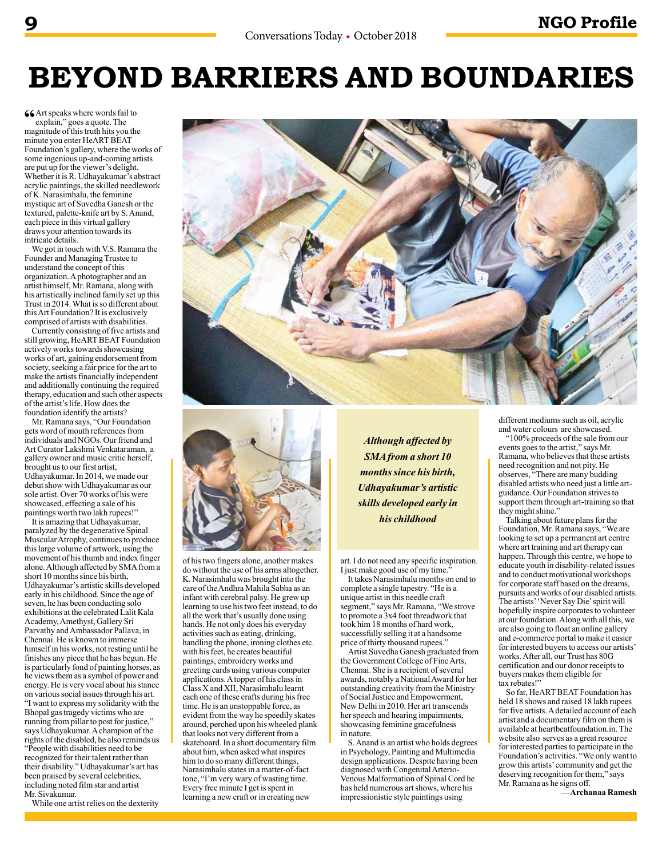## **BEYOND BARRIERS AND BOUNDARIES**

**66** Art speaks where words fail to explain," goes a quote. The magnitude of this truth hits you the minute you enter HeART BEAT Foundation's gallery, where the works of some ingenious up-and-coming artists are put up for the viewer's delight. Whether it is R. Udhayakumar's abstract acrylic paintings, the skilled needlework of K. Narasimhalu, the feminine mystique art of Suvedha Ganesh or the textured, palette-knife art by S. Anand, each piece in this virtual gallery draws your attention towards its intricate details.

We got in touch with V.S. Ramana the Founder and Managing Trustee to understand the concept of this organization. A photographer and an artist himself, Mr. Ramana, along with his artistically inclined family set up this Trust in 2014. What is so different about this Art Foundation? It is exclusively comprised of artists with disabilities.

Currently consisting of five artists and still growing, HeART BEAT Foundation actively works towards showcasing works of art, gaining endorsement from society, seeking a fair price for the art to make the artists financially independent and additionally continuing the required therapy, education and such other aspects of the artist's life. How does the foundation identify the artists?

Mr. Ramana says, "Our Foundation gets word of mouth references from individuals and NGOs. Our friend and Art Curator Lakshmi Venkataraman, a gallery owner and music critic herself, brought us to our first artist, Udhayakumar. In 2014, we made our debut show with Udhayakumar as our sole artist. Over 70 works of his were showcased, effecting a sale of his paintings worth two lakh rupees!"

It is amazing that Udhayakumar, paralyzed by the degenerative Spinal Muscular Atrophy, continues to produce this large volume of artwork, using the movement of his thumb and index finger alone. Although affected by SMA from a short 10 months since his birth, Udhayakumar's artistic skills developed early in his childhood. Since the age of seven, he has been conducting solo exhibitions at the celebrated Lalit Kala Academy, Amethyst, Gallery Sri Parvathy and Ambassador Pallava, in Chennai. He is known to immerse himself in his works, not resting until he finishes any piece that he has begun. He is particularly fond of painting horses, as he views them as a symbol of power and energy. He is very vocal about his stance on various social issues through his art. "I want to express my solidarity with the Bhopal gas tragedy victims who are running from pillar to post for justice," says Udhayakumar. A champion of the rights of the disabled, he also reminds us "People with disabilities need to be recognized for their talent rather than their disability." Udhayakumar's art has been praised by several celebrities, including noted film star and artist Mr. Sivakumar.

While one artist relies on the dexterity





of his two fingers alone, another makes do without the use of his arms altogether. K. Narasimhalu was brought into the care of the Andhra Mahila Sabha as an infant with cerebral palsy. He grew up learning to use his two feet instead, to do all the work that's usually done using hands. He not only does his everyday activities such as eating, drinking, handling the phone, ironing clothes etc. with his feet, he creates beautiful paintings, embroidery works and greeting cards using various computer applications. A topper of his class in Class X and XII, Narasimhalu learnt each one of these crafts during his free time. He is an unstoppable force, as evident from the way he speedily skates around, perched upon his wheeled plank that looks not very different from a skateboard. In a short documentary film about him, when asked what inspires him to do so many different things, Narasimhalu states in a matter-of-fact tone, "I'm very wary of wasting time. Every free minute I get is spent in learning a new craft or in creating new

*Although affected by SMA from a short 10 months since his birth, Udhayakumar's artistic skills developed early in his childhood*

art. I do not need any specific inspiration. I just make good use of my time."

It takes Narasimhalu months on end to complete a single tapestry. "He is a unique artist in this needle craft segment," says Mr. Ramana, "We strove to promote a 3x4 foot threadwork that took him 18 months of hard work, successfully selling it at a handsome price of thirty thousand rupees."

Artist Suvedha Ganesh graduated from the Government College of Fine Arts, Chennai. She is a recipient of several awards, notably a National Award for her outstanding creativity from the Ministry of Social Justice and Empowerment, New Delhi in 2010. Her art transcends her speech and hearing impairments, showcasing feminine gracefulness in nature.

S. Anand is an artist who holds degrees in Psychology, Painting and Multimedia design applications. Despite having been diagnosed with Congenital Arterio-Venous Malformation of Spinal Cord he has held numerous art shows, where his impressionistic style paintings using

different mediums such as oil, acrylic and water colours are showcased.

"100% proceeds of the sale from our events goes to the artist," says Mr. Ramana, who believes that these artists need recognition and not pity. He observes, "There are many budding disabled artists who need just a little artguidance. Our Foundation strives to support them through art-training so that they might shine."

Talking about future plans for the Foundation, Mr. Ramana says, "We are looking to set up a permanent art centre where art training and art therapy can happen. Through this centre, we hope to educate youth in disability-related issues and to conduct motivational workshops for corporate staff based on the dreams, pursuits and works of our disabled artists. The artists' 'Never Say Die' spirit will hopefully inspire corporates to volunteer at our foundation. Along with all this, we are also going to float an online gallery and e-commerce portal to make it easier for interested buyers to access our artists' works. After all, our Trust has 80G certification and our donor receipts to buyers makes them eligible for tax rebates!"

So far, HeART BEAT Foundation has held 18 shows and raised 18 lakh rupees for five artists. A detailed account of each artist and a documentary film on them is available at heartbeatfoundation.in. The website also serves as a great resource for interested parties to participate in the Foundation's activities. "We only want to grow this artists' community and get the deserving recognition for them," says Mr. Ramana as he signs off.

**—Archanaa Ramesh**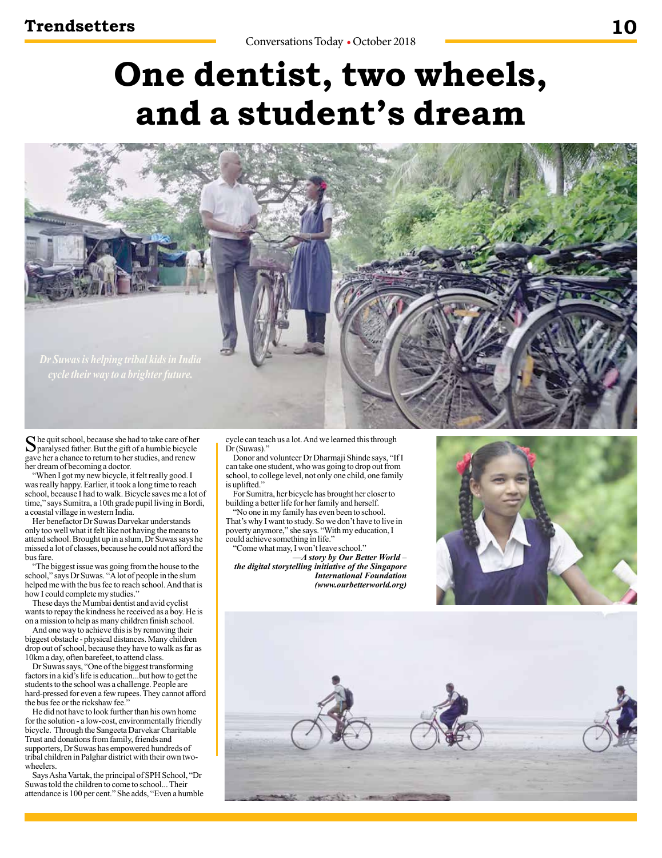# **One dentist, two wheels, and a student's dream**



She quit school, because she had to take care of her paralysed father. But the gift of a humble bicycle gave her a chance to return to her studies, and renew her dream of becoming a doctor.

"When I got my new bicycle, it felt really good. I was really happy. Earlier, it took a long time to reach school, because I had to walk. Bicycle saves me a lot of time," says Sumitra, a 10th grade pupil living in Bordi, a coastal village in western India.

Her benefactor Dr Suwas Darvekar understands only too well what it felt like not having the means to attend school. Brought up in a slum, Dr Suwas says he missed a lot of classes, because he could not afford the bus fare.

"The biggest issue was going from the house to the school," says Dr Suwas. "A lot of people in the slum helped me with the bus fee to reach school. And that is how I could complete my studies."

These days the Mumbai dentist and avid cyclist wants to repay the kindness he received as a boy. He is on a mission to help as many children finish school.

And one way to achieve this is by removing their biggest obstacle - physical distances. Many children drop out of school, because they have to walk as far as 10km a day, often barefeet, to attend class.

Dr Suwas says, "One of the biggest transforming factors in a kid's life is education...but how to get the students to the school was a challenge. People are hard-pressed for even a few rupees. They cannot afford the bus fee or the rickshaw fee.

He did not have to look further than his own home for the solution - a low-cost, environmentally friendly bicycle. Through the Sangeeta Darvekar Charitable Trust and donations from family, friends and supporters, Dr Suwas has empowered hundreds of tribal children in Palghar district with their own twowheelers.

Says Asha Vartak, the principal of SPH School, "Dr Suwas told the children to come to school... Their attendance is 100 per cent." She adds, "Even a humble

cycle can teach us a lot. And we learned this through Dr (Suwas)."

Donor and volunteer Dr Dharmaji Shinde says, "If I can take one student, who was going to drop out from school, to college level, not only one child, one family is uplifted."

For Sumitra, her bicycle has brought her closer to building a better life for her family and herself.

"No one in my family has even been to school. That's why I want to study. So we don't have to live in poverty anymore," she says. "With my education, I could achieve something in life."

"Come what may, I won't leave school."

*—A story by Our Better World – the digital storytelling initiative of the Singapore International Foundation (www.ourbetterworld.org)*



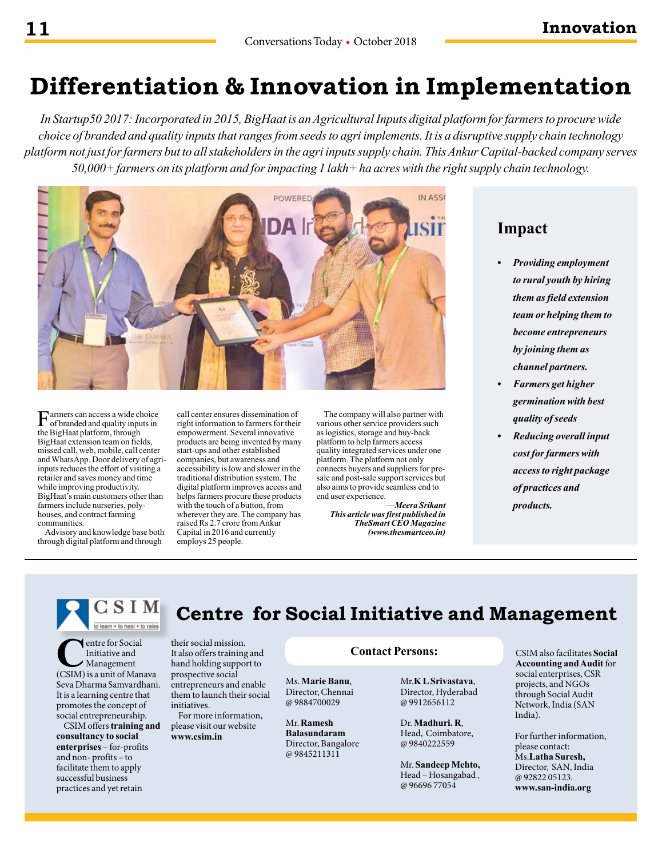### **Differentiation & Innovation in Implementation**

*In Startup50 2017: Incorporated in 2015, BigHaat is an Agricultural Inputs digital platform for farmers to procure wide choice of branded and quality inputs that ranges from seeds to agri implements. It is a disruptive supply chain technology platform not just for farmers but to all stakeholders in the agri inputs supply chain. This Ankur Capital-backed company serves 50,000+ farmers on its platform and for impacting 1 lakh+ ha acres with the right supply chain technology.*



Farmers can access a wide choice<br>of branded and quality inputs in the BigHaat platform, through BigHaat extension team on fields, missed call, web, mobile, call center and WhatsApp. Door delivery of agriinputs reduces the effort of visiting a retailer and saves money and time while improving productivity. BigHaat's main customers other than farmers include nurseries, polyhouses, and contract farming communities.

Advisory and knowledge base both through digital platform and through

call center ensures dissemination of right information to farmers for their empowerment. Several innovative products are being invented by many start-ups and other established companies, but awareness and accessibility is low and slower in the traditional distribution system. The digital platform improves access and helps farmers procure these products with the touch of a button, from wherever they are. The company has raised Rs 2.7 crore from Ankur Capital in 2016 and currently employs 25 people.

The company will also partner with various other service providers such as logistics, storage and buy-back platform to help farmers access quality integrated services under one platform. The platform not only connects buyers and suppliers for presale and post-sale support services but also aims to provide seamless end to end user experience.

*—Meera Srikant This article was first published in TheSmart CEO Magazine (www.thesmartceo.in)*

### **Impact**

- *• Providing employment to rural youth by hiring them as field extension team or helping them to become entrepreneurs by joining them as channel partners.*
- *• Farmers get higher germination with best quality of seeds*
- *• Reducing overall input cost for farmers with access to right package of practices and products.*

CSIM Centre for Social Initiative and Management

**C**entre for Social<br>
Initiative and<br>
(CSIM) is a unit of Manava Initiative and Management Seva Dharma Samvardhani. It is a learning centre that promotes the concept of social entrepreneurship.

CSIM offers **training and consultancy to social enterprises** – for-profits and non- profits – to facilitate them to apply successful business practices and yet retain

their social mission. It also offers training and hand holding support to prospective social entrepreneurs and enable them to launch their social initiatives.

For more information, please visit our website **www.csim.in**

#### **Contact Persons:**

Ms. **Marie Banu**, Director, Chennai @ 9884700029

Mr. **Ramesh Balasundaram**  Director, Bangalore @ 9845211311

Mr.**K L Srivastava**, Director, Hyderabad @ 9912656112

Dr. **Madhuri. R**, Head, Coimbatore, @ 9840222559

Mr. **Sandeep Mehto,** Head – Hosangabad , @ 96696 77054

CSIM also facilitates **Social Accounting and Audit** for social enterprises, CSR projects, and NGOs through Social Audit Network, India (SAN India).

For further information, please contact: Ms.**Latha Suresh,**  Director, SAN, India @ 92822 05123. **www.san-india.org**